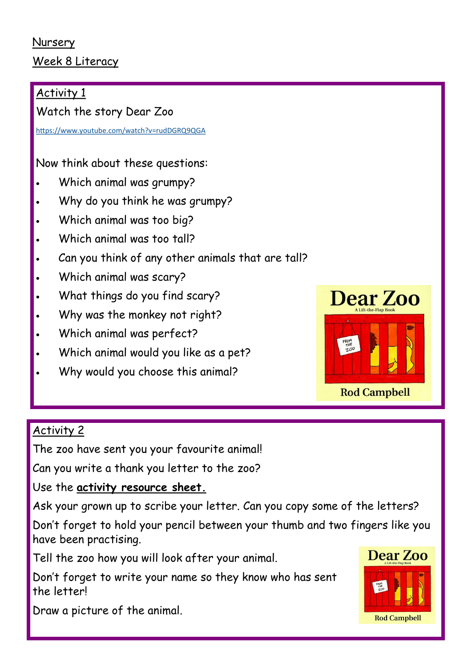#### Nursery Week 8 Literacy

## Activity 1

Watch the story Dear Zoo

<https://www.youtube.com/watch?v=rudDGRQ9QGA>

Now think about these questions:

- Which animal was grumpy?
- Why do you think he was grumpy?
- Which animal was too big?
- Which animal was too tall?
- Can you think of any other animals that are tall?
- Which animal was scary?
- What things do you find scary?
- Why was the monkey not right?
- Which animal was perfect?
- Which animal would you like as a pet?
- Why would you choose this animal?



#### Activity 2

The zoo have sent you your favourite animal!

Can you write a thank you letter to the zoo?

Use the **activity resource sheet.**

Ask your grown up to scribe your letter. Can you copy some of the letters?

Don't forget to hold your pencil between your thumb and two fingers like you have been practising.

Tell the zoo how you will look after your animal.

Don't forget to write your name so they know who has sent the letter!



Draw a picture of the animal.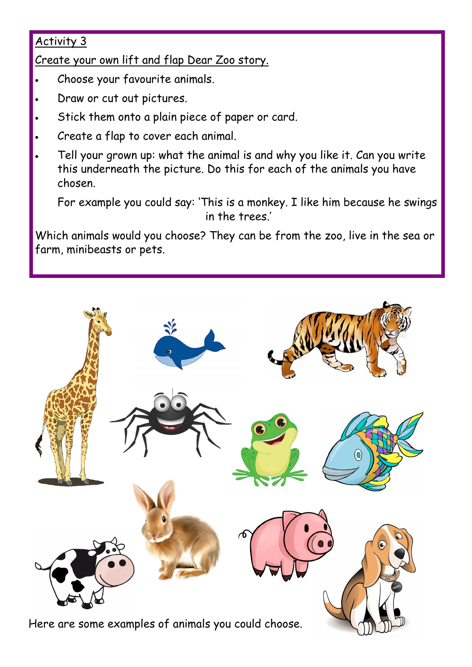### Activity 3

Create your own lift and flap Dear Zoo story.

- Choose your favourite animals.
- Draw or cut out pictures.
- Stick them onto a plain piece of paper or card.
- Create a flap to cover each animal.
- Tell your grown up: what the animal is and why you like it. Can you write this underneath the picture. Do this for each of the animals you have chosen.

For example you could say: 'This is a monkey. I like him because he swings in the trees'

Which animals would you choose? They can be from the zoo, live in the sea or farm, minibeasts or pets.



Here are some examples of animals you could choose.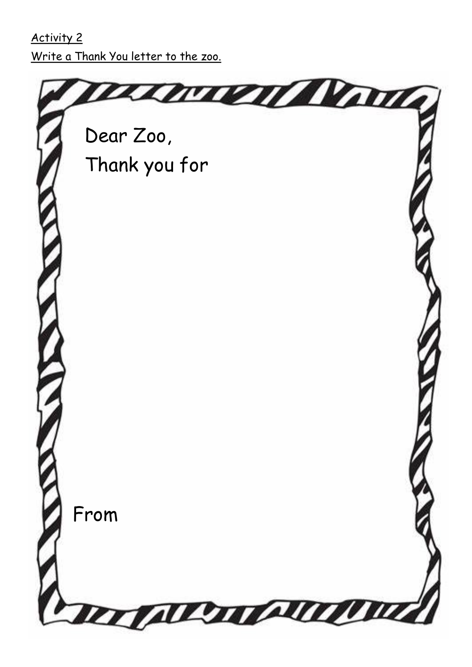# Activity 2 Write a Thank You letter to the zoo.